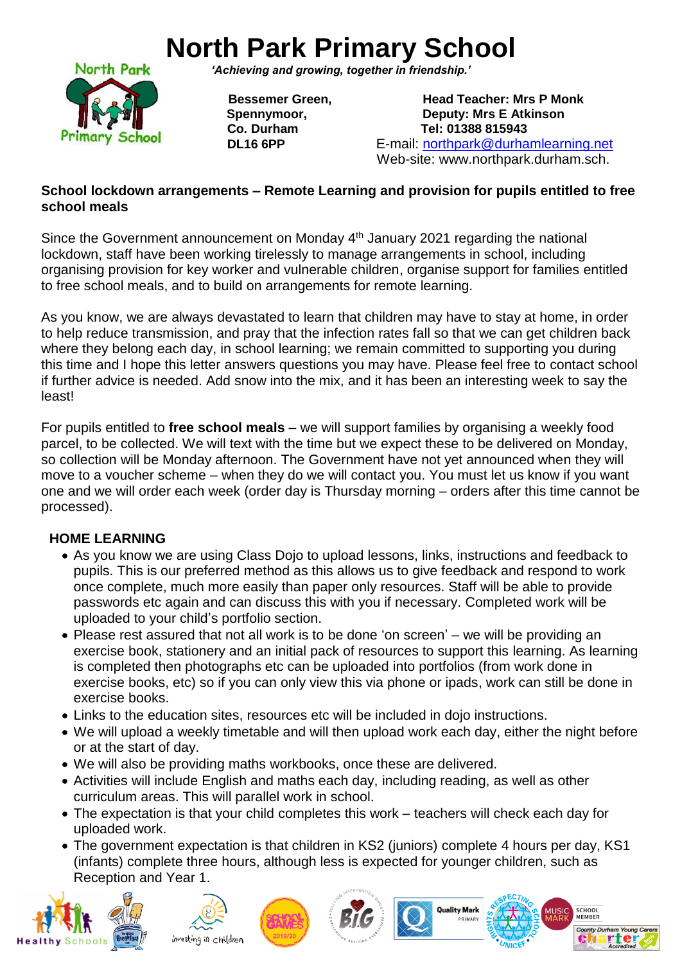## **North Park Primary School**



*'Achieving and growing, together in friendship.'*

**Bessemer Green.** *Bessemer Green* **Spennymoor, Communist Communist Communist Communist Communist Communist Communist Communist Communist Communist Communist Communist Communist Communist Communist Communist Communist Communist Communist Communist Communist Co. Durham Tel: 01388 815943 DL16 6PP** E-mail: [northpark@durhamlearning.net](mailto:northpark@durhamlearning.net) Web-site: www.northpark.durham.sch.

## **School lockdown arrangements – Remote Learning and provision for pupils entitled to free school meals**

Since the Government announcement on Monday 4<sup>th</sup> January 2021 regarding the national lockdown, staff have been working tirelessly to manage arrangements in school, including organising provision for key worker and vulnerable children, organise support for families entitled to free school meals, and to build on arrangements for remote learning.

As you know, we are always devastated to learn that children may have to stay at home, in order to help reduce transmission, and pray that the infection rates fall so that we can get children back where they belong each day, in school learning; we remain committed to supporting you during this time and I hope this letter answers questions you may have. Please feel free to contact school if further advice is needed. Add snow into the mix, and it has been an interesting week to say the least!

For pupils entitled to **free school meals** – we will support families by organising a weekly food parcel, to be collected. We will text with the time but we expect these to be delivered on Monday, so collection will be Monday afternoon. The Government have not yet announced when they will move to a voucher scheme – when they do we will contact you. You must let us know if you want one and we will order each week (order day is Thursday morning – orders after this time cannot be processed).

## **HOME LEARNING**

- As you know we are using Class Dojo to upload lessons, links, instructions and feedback to pupils. This is our preferred method as this allows us to give feedback and respond to work once complete, much more easily than paper only resources. Staff will be able to provide passwords etc again and can discuss this with you if necessary. Completed work will be uploaded to your child's portfolio section.
- Please rest assured that not all work is to be done 'on screen' we will be providing an exercise book, stationery and an initial pack of resources to support this learning. As learning is completed then photographs etc can be uploaded into portfolios (from work done in exercise books, etc) so if you can only view this via phone or ipads, work can still be done in exercise books.
- Links to the education sites, resources etc will be included in dojo instructions.
- We will upload a weekly timetable and will then upload work each day, either the night before or at the start of day.
- We will also be providing maths workbooks, once these are delivered.
- Activities will include English and maths each day, including reading, as well as other curriculum areas. This will parallel work in school.
- The expectation is that your child completes this work teachers will check each day for uploaded work.
- The government expectation is that children in KS2 (juniors) complete 4 hours per day, KS1 (infants) complete three hours, although less is expected for younger children, such as Reception and Year 1.